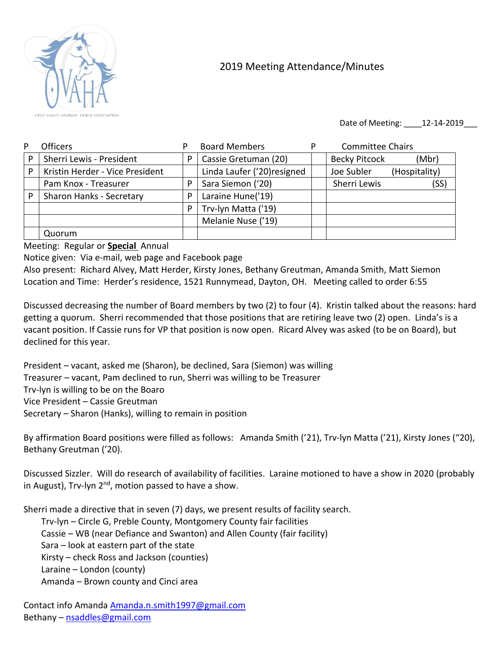

## 2019 Meeting Attendance/Minutes

Date of Meeting: 12-14-2019

| P | <b>Officers</b>                 |   | <b>Board Members</b>        | P | <b>Committee Chairs</b> |               |
|---|---------------------------------|---|-----------------------------|---|-------------------------|---------------|
| P | Sherri Lewis - President        | P | Cassie Gretuman (20)        |   | <b>Becky Pitcock</b>    | (Mbr)         |
| P | Kristin Herder - Vice President |   | Linda Laufer ('20) resigned |   | Joe Subler              | (Hospitality) |
|   | Pam Knox - Treasurer            | P | Sara Siemon ('20)           |   | Sherri Lewis            | (SS)          |
| P | Sharon Hanks - Secretary        | P | Laraine Hune('19)           |   |                         |               |
|   |                                 | P | Trv-lyn Matta ('19)         |   |                         |               |
|   |                                 |   | Melanie Nuse ('19)          |   |                         |               |
|   | Quorum                          |   |                             |   |                         |               |

Meeting: Regular or **Special** Annual

Notice given: Via e-mail, web page and Facebook page

Also present: Richard Alvey, Matt Herder, Kirsty Jones, Bethany Greutman, Amanda Smith, Matt Siemon Location and Time: Herder's residence, 1521 Runnymead, Dayton, OH. Meeting called to order 6:55

Discussed decreasing the number of Board members by two (2) to four (4). Kristin talked about the reasons: hard getting a quorum. Sherri recommended that those positions that are retiring leave two (2) open. Linda's is a vacant position. If Cassie runs for VP that position is now open. Ricard Alvey was asked (to be on Board), but declined for this year.

President – vacant, asked me (Sharon), be declined, Sara (Siemon) was willing Treasurer – vacant, Pam declined to run, Sherri was willing to be Treasurer Trv-lyn is willing to be on the Boaro Vice President – Cassie Greutman Secretary – Sharon (Hanks), willing to remain in position

By affirmation Board positions were filled as follows: Amanda Smith ('21), Trv-lyn Matta ('21), Kirsty Jones ("20), Bethany Greutman ('20).

Discussed Sizzler. Will do research of availability of facilities. Laraine motioned to have a show in 2020 (probably in August), Trv-lyn 2<sup>nd</sup>, motion passed to have a show.

Sherri made a directive that in seven (7) days, we present results of facility search.

Trv-lyn – Circle G, Preble County, Montgomery County fair facilities Cassie – WB (near Defiance and Swanton) and Allen County (fair facility) Sara – look at eastern part of the state Kirsty – check Ross and Jackson (counties) Laraine – London (county) Amanda – Brown county and Cinci area

Contact info Amanda [Amanda.n.smith1997@gmail.com](mailto:Amanda.n.smith1997@gmail.com) Bethany – [nsaddles@gmail.com](mailto:nsaddles@gmail.com)